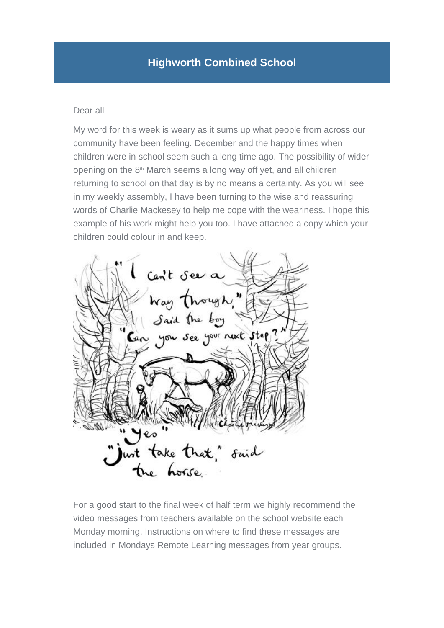## Dear all

My word for this week is weary as it sums up what people from across our community have been feeling. December and the happy times when children were in school seem such a long time ago. The possibility of wider opening on the 8<sup>th</sup> March seems a long way off yet, and all children returning to school on that day is by no means a certainty. As you will see in my weekly assembly, I have been turning to the wise and reassuring words of Charlie Mackesey to help me cope with the weariness. I hope this example of his work might help you too. I have attached a copy which your children could colour in and keep.



For a good start to the final week of half term we highly recommend the video messages from teachers available on the school website each Monday morning. Instructions on where to find these messages are included in Mondays Remote Learning messages from year groups.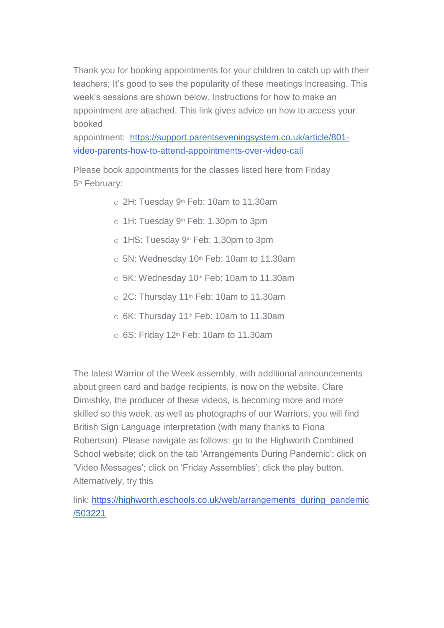Thank you for booking appointments for your children to catch up with their teachers; It's good to see the popularity of these meetings increasing. This week's sessions are shown below. Instructions for how to make an appointment are attached. This link gives advice on how to access your booked

appointment: [https://support.parentseveningsystem.co.uk/article/801](https://support.parentseveningsystem.co.uk/article/801-video-parents-how-to-attend-appointments-over-video-call) [video-parents-how-to-attend-appointments-over-video-call](https://support.parentseveningsystem.co.uk/article/801-video-parents-how-to-attend-appointments-over-video-call)

Please book appointments for the classes listed here from Friday 5<sup>th</sup> February:

- $\circ$  2H: Tuesday 9<sup>th</sup> Feb: 10am to 11.30am
- o 1H: Tuesday 9<sup>th</sup> Feb: 1.30pm to 3pm
- o 1HS: Tuesday 9<sup>th</sup> Feb: 1.30pm to 3pm
- $\circ$  5N: Wednesday 10<sup>th</sup> Feb: 10am to 11.30am
- $\circ$  5K: Wednesday 10<sup>th</sup> Feb: 10am to 11.30am
- $\circ$  2C: Thursday 11<sup>th</sup> Feb: 10am to 11.30am
- $\circ$  6K: Thursday 11<sup>th</sup> Feb: 10am to 11.30am
- $\circ$  6S: Friday 12<sup>th</sup> Feb: 10am to 11.30am

The latest Warrior of the Week assembly, with additional announcements about green card and badge recipients, is now on the website. Clare Dimishky, the producer of these videos, is becoming more and more skilled so this week, as well as photographs of our Warriors, you will find British Sign Language interpretation (with many thanks to Fiona Robertson). Please navigate as follows: go to the Highworth Combined School website; click on the tab 'Arrangements During Pandemic'; click on 'Video Messages'; click on 'Friday Assemblies'; click the play button. Alternatively, try this

link: [https://highworth.eschools.co.uk/web/arrangements\\_during\\_pandemic](https://highworth.eschools.co.uk/eletters/web/arrangements_during_pandemic/503221) [/503221](https://highworth.eschools.co.uk/eletters/web/arrangements_during_pandemic/503221)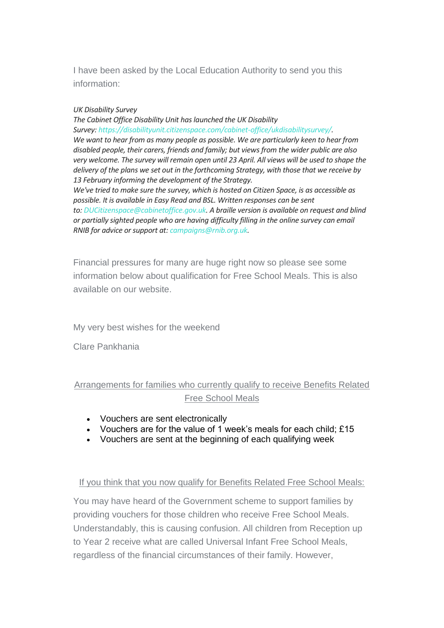I have been asked by the Local Education Authority to send you this information:

## *UK Disability Survey*

*The Cabinet Office Disability Unit has launched the UK Disability Survey: [https://disabilityunit.citizenspace.com/cabinet-office/ukdisabilitysurvey/.](https://eur03.safelinks.protection.outlook.com/?url=https%3A%2F%2Fcdc.mobilize.io%2Flinks%3Flid%3Dj8QbtvUU2c3P4C9_cyejkQ%26token%3DxHWCvmkKSdbQUZr55d8QZw%26url%3Dhttps%253A%252F%252Fcdc.mobilize.io%252Flinks%253Flid%253DrfTfHvHAtA6X-JLoXz-Eiw%2526token%253DVEVFbePuXZrCQntNJ-ZGvA%2526url%253Dhttps%25253A%25252F%25252Feur02.safelinks.protection.outlook.com%25252F%25253Furl%25253Dhttps%2525253A%2525252F%2525252Fdisabilityunit.citizenspace.com%2525252Fcabinet-office%2525252Fukdisabilitysurvey%2525252F%252526data%25253D04%2525257C01%2525257CMHunt%25252540ncb.org.uk%2525257Cac1ed2deefcd45d6377408d8c457f279%2525257Cadc87355e29c4519954f95e35c776178%2525257C0%2525257C0%2525257C637475229316436598%2525257CUnknown%2525257CTWFpbGZsb3d8eyJWIjoiMC4wLjAwMDAiLCJQIjoiV2luMzIiLCJBTiI6Ik1haWwiLCJXVCI6Mn0%2525253D%2525257C1000%252526sdata%25253DaSq5Kz73MChmYvJdRnE7fpdi%2525252FJIttWENL53kdQi8MMs%2525253D%252526reserved%25253D0&data=04%7C01%7Csis%40buckinghamshire.gov.uk%7C47ab1d250c6a42e60ee308d8c76f975e%7C7fb976b99e2848e180861ddabecf82a0%7C0%7C0%7C637478629381778289%7CUnknown%7CTWFpbGZsb3d8eyJWIjoiMC4wLjAwMDAiLCJQIjoiV2luMzIiLCJBTiI6Ik1haWwiLCJXVCI6Mn0%3D%7C1000&sdata=0IHm950YSuSdEjWNp7epS6H%2FCxVKrsOE509eKMr62yo%3D&reserved=0) We want to hear from as many people as possible. We are particularly keen to hear from disabled people, their carers, friends and family; but views from the wider public are also very welcome. The survey will remain open until 23 April. All views will be used to shape the delivery of the plans we set out in the forthcoming Strategy, with those that we receive by 13 February informing the development of the Strategy. We've tried to make sure the survey, which is hosted on Citizen Space, is as accessible as possible. It is available in Easy Read and BSL. Written responses can be sent to: [DUCitizenspace@cabinetoffice.gov.uk.](https://eur03.safelinks.protection.outlook.com/?url=https%3A%2F%2Fcdc.mobilize.io%2Flinks%3Flid%3Dj8QbtvUU2c3P4C9_cyejkQ%26token%3DxHWCvmkKSdbQUZr55d8QZw%26url%3Dhttps%253A%252F%252Fcdc.mobilize.io%252Flinks%253Flid%253DrfTfHvHAtA6X-JLoXz-Eiw%2526token%253DVEVFbePuXZrCQntNJ-ZGvA%2526url%253Dmailto%25253ADUCitizenspace%252540cabinetoffice.gov.uk&data=04%7C01%7Csis%40buckinghamshire.gov.uk%7C47ab1d250c6a42e60ee308d8c76f975e%7C7fb976b99e2848e180861ddabecf82a0%7C0%7C0%7C637478629381778289%7CUnknown%7CTWFpbGZsb3d8eyJWIjoiMC4wLjAwMDAiLCJQIjoiV2luMzIiLCJBTiI6Ik1haWwiLCJXVCI6Mn0%3D%7C1000&sdata=xQXljYc1HxMiGWQuUpIYKv67sWP0%2Buk%2BEToo7MBZocs%3D&reserved=0) A braille version is available on request and blind or partially sighted people who are having difficulty filling in the online survey can email RNIB for advice or support at: [campaigns@rnib.org.uk.](https://eur03.safelinks.protection.outlook.com/?url=https%3A%2F%2Fcdc.mobilize.io%2Flinks%3Flid%3Dj8QbtvUU2c3P4C9_cyejkQ%26token%3DxHWCvmkKSdbQUZr55d8QZw%26url%3Dhttps%253A%252F%252Fcdc.mobilize.io%252Flinks%253Flid%253DrfTfHvHAtA6X-JLoXz-Eiw%2526token%253DVEVFbePuXZrCQntNJ-ZGvA%2526url%253Dmailto%25253Acampaigns%252540rnib.org.uk&data=04%7C01%7Csis%40buckinghamshire.gov.uk%7C47ab1d250c6a42e60ee308d8c76f975e%7C7fb976b99e2848e180861ddabecf82a0%7C0%7C0%7C637478629381788242%7CUnknown%7CTWFpbGZsb3d8eyJWIjoiMC4wLjAwMDAiLCJQIjoiV2luMzIiLCJBTiI6Ik1haWwiLCJXVCI6Mn0%3D%7C1000&sdata=5xrVkR69K1VoaCoU%2BNgyjZx%2FL%2BC5G2koWx97oZjI%2Bxk%3D&reserved=0)*

Financial pressures for many are huge right now so please see some information below about qualification for Free School Meals. This is also available on our website.

My very best wishes for the weekend

Clare Pankhania

Arrangements for families who currently qualify to receive Benefits Related Free School Meals

- Vouchers are sent electronically
- Vouchers are for the value of 1 week's meals for each child; £15
- Vouchers are sent at the beginning of each qualifying week

## If you think that you now qualify for Benefits Related Free School Meals:

You may have heard of the Government scheme to support families by providing vouchers for those children who receive Free School Meals. Understandably, this is causing confusion. All children from Reception up to Year 2 receive what are called Universal Infant Free School Meals, regardless of the financial circumstances of their family. However,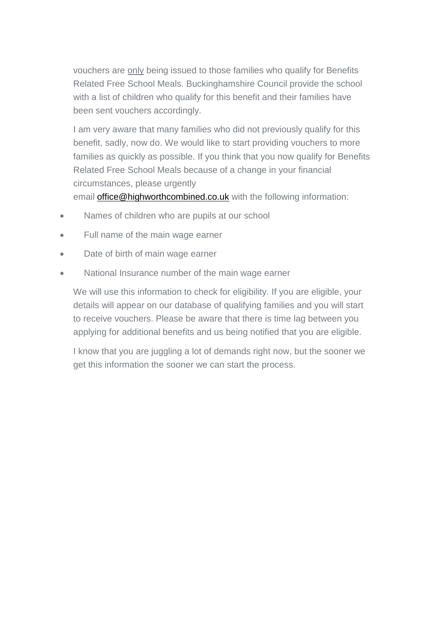vouchers are only being issued to those families who qualify for Benefits Related Free School Meals. Buckinghamshire Council provide the school with a list of children who qualify for this benefit and their families have been sent vouchers accordingly.

I am very aware that many families who did not previously qualify for this benefit, sadly, now do. We would like to start providing vouchers to more families as quickly as possible. If you think that you now qualify for Benefits Related Free School Meals because of a change in your financial circumstances, please urgently

email [office@highworthcombined.co.uk](mailto:office@highworthcombined.co.uk) with the following information:

- Names of children who are pupils at our school
- Full name of the main wage earner
- Date of birth of main wage earner
- National Insurance number of the main wage earner

We will use this information to check for eligibility. If you are eligible, your details will appear on our database of qualifying families and you will start to receive vouchers. Please be aware that there is time lag between you applying for additional benefits and us being notified that you are eligible.

I know that you are juggling a lot of demands right now, but the sooner we get this information the sooner we can start the process.